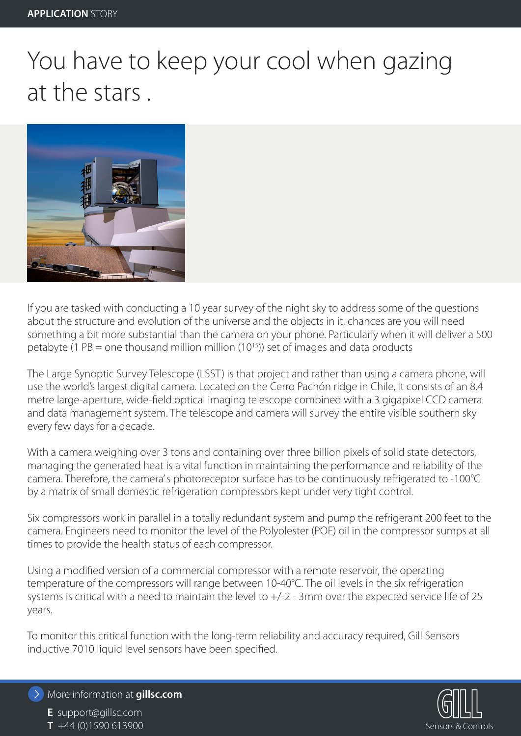## You have to keep your cool when gazing at the stars .



If you are tasked with conducting a 10 year survey of the night sky to address some of the questions about the structure and evolution of the universe and the objects in it, chances are you will need something a bit more substantial than the camera on your phone. Particularly when it will deliver a 500 petabyte (1 PB = one thousand million million (10<sup>15</sup>)) set of images and data products

The Large Synoptic Survey Telescope (LSST) is that project and rather than using a camera phone, will use the world's largest digital camera. Located on the Cerro Pachón ridge in Chile, it consists of an 8.4 metre large-aperture, wide-field optical imaging telescope combined with a 3 gigapixel CCD camera and data management system. The telescope and camera will survey the entire visible southern sky every few days for a decade.

With a camera weighing over 3 tons and containing over three billion pixels of solid state detectors, managing the generated heat is a vital function in maintaining the performance and reliability of the camera. Therefore, the camera's photoreceptor surface has to be continuously refrigerated to -100°C by a matrix of small domestic refrigeration compressors kept under very tight control.

Six compressors work in parallel in a totally redundant system and pump the refrigerant 200 feet to the camera. Engineers need to monitor the level of the Polyolester (POE) oil in the compressor sumps at all times to provide the health status of each compressor.

Using a modified version of a commercial compressor with a remote reservoir, the operating temperature of the compressors will range between 10-40°C. The oil levels in the six refrigeration systems is critical with a need to maintain the level to +/-2 - 3mm over the expected service life of 25 years.

To monitor this critical function with the long-term reliability and accuracy required, Gill Sensors inductive 7010 liquid level sensors have been specified.



More information at **gillsc.com**

**E** support@gillsc.com **T** +44 (0)1590 613900 Sensors & Controls